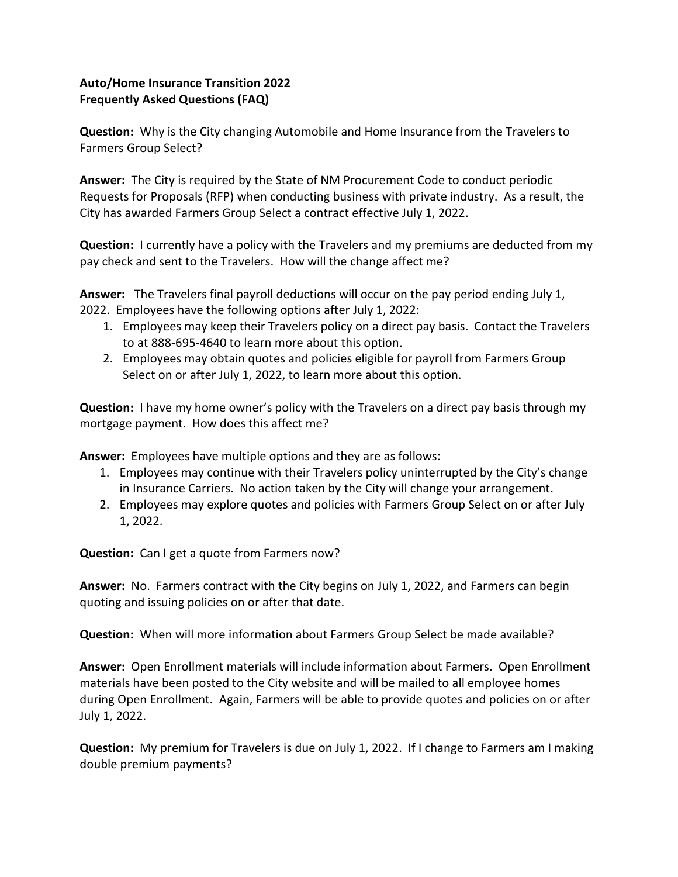## Auto/Home Insurance Transition 2022 Frequently Asked Questions (FAQ)

Question: Why is the City changing Automobile and Home Insurance from the Travelers to Farmers Group Select?

Answer: The City is required by the State of NM Procurement Code to conduct periodic Requests for Proposals (RFP) when conducting business with private industry. As a result, the City has awarded Farmers Group Select a contract effective July 1, 2022.

Question: I currently have a policy with the Travelers and my premiums are deducted from my pay check and sent to the Travelers. How will the change affect me?

Answer: The Travelers final payroll deductions will occur on the pay period ending July 1, 2022. Employees have the following options after July 1, 2022:

- 1. Employees may keep their Travelers policy on a direct pay basis. Contact the Travelers to at 888-695-4640 to learn more about this option.
- 2. Employees may obtain quotes and policies eligible for payroll from Farmers Group Select on or after July 1, 2022, to learn more about this option.

Question: I have my home owner's policy with the Travelers on a direct pay basis through my mortgage payment. How does this affect me?

Answer: Employees have multiple options and they are as follows:

- 1. Employees may continue with their Travelers policy uninterrupted by the City's change in Insurance Carriers. No action taken by the City will change your arrangement.
- 2. Employees may explore quotes and policies with Farmers Group Select on or after July 1, 2022.

Question: Can I get a quote from Farmers now?

Answer: No. Farmers contract with the City begins on July 1, 2022, and Farmers can begin quoting and issuing policies on or after that date.

Question: When will more information about Farmers Group Select be made available?

Answer: Open Enrollment materials will include information about Farmers. Open Enrollment materials have been posted to the City website and will be mailed to all employee homes during Open Enrollment. Again, Farmers will be able to provide quotes and policies on or after July 1, 2022.

Question: My premium for Travelers is due on July 1, 2022. If I change to Farmers am I making double premium payments?